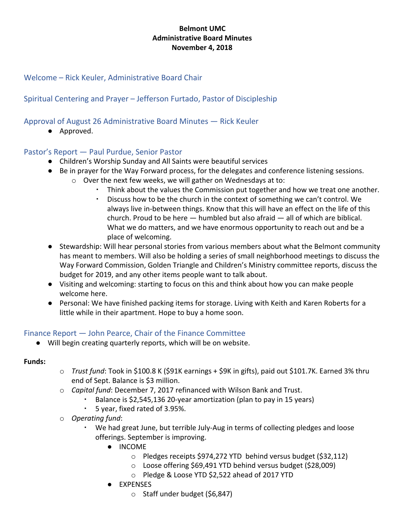### **Belmont UMC Administrative Board Minutes November 4, 2018**

## Welcome – Rick Keuler, Administrative Board Chair

# Spiritual Centering and Prayer – Jefferson Furtado, Pastor of Discipleship

Approval of August 26 Administrative Board Minutes — Rick Keuler

● Approved.

### Pastor's Report — Paul Purdue, Senior Pastor

- Children's Worship Sunday and All Saints were beautiful services
- Be in prayer for the Way Forward process, for the delegates and conference listening sessions.
	- o Over the next few weeks, we will gather on Wednesdays at to:
		- Think about the values the Commission put together and how we treat one another.
		- Discuss how to be the church in the context of something we can't control. We always live in-between things. Know that this will have an effect on the life of this church. Proud to be here — humbled but also afraid — all of which are biblical. What we do matters, and we have enormous opportunity to reach out and be a place of welcoming.
- Stewardship: Will hear personal stories from various members about what the Belmont community has meant to members. Will also be holding a series of small neighborhood meetings to discuss the Way Forward Commission, Golden Triangle and Children's Ministry committee reports, discuss the budget for 2019, and any other items people want to talk about.
- Visiting and welcoming: starting to focus on this and think about how you can make people welcome here.
- Personal: We have finished packing items for storage. Living with Keith and Karen Roberts for a little while in their apartment. Hope to buy a home soon.

### Finance Report — John Pearce, Chair of the Finance Committee

● Will begin creating quarterly reports, which will be on website.

#### **Funds:**

- o *Trust fund*: Took in \$100.8 K (\$91K earnings + \$9K in gifts), paid out \$101.7K. Earned 3% thru end of Sept. Balance is \$3 million.
- o *Capital fund*: December 7, 2017 refinanced with Wilson Bank and Trust.
	- Balance is \$2,545,136 20-year amortization (plan to pay in 15 years)
	- 5 year, fixed rated of 3.95%.
- o *Operating fund*:
	- We had great June, but terrible July-Aug in terms of collecting pledges and loose offerings. September is improving.
		- INCOME
			- o Pledges receipts \$974,272 YTD behind versus budget (\$32,112)
			- o Loose offering \$69,491 YTD behind versus budget (\$28,009)
			- o Pledge & Loose YTD \$2,522 ahead of 2017 YTD
		- EXPENSES
			- o Staff under budget (\$6,847)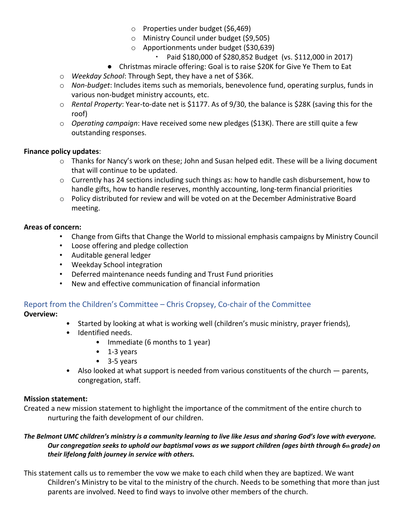- o Properties under budget (\$6,469)
- o Ministry Council under budget (\$9,505)
- o Apportionments under budget (\$30,639)
	- Paid \$180,000 of \$280,852 Budget (vs. \$112,000 in 2017)
- Christmas miracle offering: Goal is to raise \$20K for Give Ye Them to Eat
- o *Weekday School*: Through Sept, they have a net of \$36K.
- o *Non-budget*: Includes items such as memorials, benevolence fund, operating surplus, funds in various non-budget ministry accounts, etc.
- o *Rental Property*: Year-to-date net is \$1177. As of 9/30, the balance is \$28K (saving this for the roof)
- o *Operating campaign*: Have received some new pledges (\$13K). There are still quite a few outstanding responses.

#### **Finance policy updates**:

- o Thanks for Nancy's work on these; John and Susan helped edit. These will be a living document that will continue to be updated.
- $\circ$  Currently has 24 sections including such things as: how to handle cash disbursement, how to handle gifts, how to handle reserves, monthly accounting, long-term financial priorities
- o Policy distributed for review and will be voted on at the December Administrative Board meeting.

### **Areas of concern:**

- Change from Gifts that Change the World to missional emphasis campaigns by Ministry Council
- Loose offering and pledge collection
- Auditable general ledger
- Weekday School integration
- Deferred maintenance needs funding and Trust Fund priorities
- New and effective communication of financial information

# Report from the Children's Committee – Chris Cropsey, Co-chair of the Committee

#### **Overview:**

- Started by looking at what is working well (children's music ministry, prayer friends),
- Identified needs.
	- Immediate (6 months to 1 year)
	- 1-3 years
	- 3-5 years
- Also looked at what support is needed from various constituents of the church parents, congregation, staff.

#### **Mission statement:**

Created a new mission statement to highlight the importance of the commitment of the entire church to nurturing the faith development of our children.

#### The Belmont UMC children's ministry is a community learning to live like Jesus and sharing God's love with everyone. Our congregation seeks to uphold our baptismal vows as we support children (ages birth through 6th grade) on *their lifelong faith journey in service with others.*

This statement calls us to remember the vow we make to each child when they are baptized. We want Children's Ministry to be vital to the ministry of the church. Needs to be something that more than just parents are involved. Need to find ways to involve other members of the church.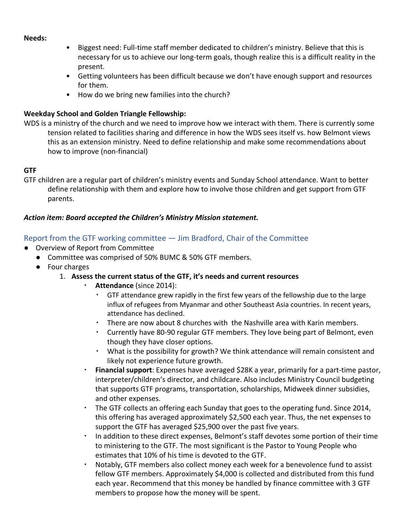#### **Needs:**

- Biggest need: Full-time staff member dedicated to children's ministry. Believe that this is necessary for us to achieve our long-term goals, though realize this is a difficult reality in the present.
- Getting volunteers has been difficult because we don't have enough support and resources for them.
- How do we bring new families into the church?

### **Weekday School and Golden Triangle Fellowship:**

WDS is a ministry of the church and we need to improve how we interact with them. There is currently some tension related to facilities sharing and difference in how the WDS sees itself vs. how Belmont views this as an extension ministry. Need to define relationship and make some recommendations about how to improve (non-financial)

### **GTF**

GTF children are a regular part of children's ministry events and Sunday School attendance. Want to better define relationship with them and explore how to involve those children and get support from GTF parents.

### *Action item: Board accepted the Children's Ministry Mission statement.*

### Report from the GTF working committee — Jim Bradford, Chair of the Committee

- Overview of Report from Committee
	- Committee was comprised of 50% BUMC & 50% GTF members.
	- Four charges

### 1. **Assess the current status of the GTF, it's needs and current resources**

- Attendance (since 2014):
	- GTF attendance grew rapidly in the first few years of the fellowship due to the large influx of refugees from Myanmar and other Southeast Asia countries. In recent years, attendance has declined.
	- There are now about 8 churches with the Nashville area with Karin members.
	- Currently have 80-90 regular GTF members. They love being part of Belmont, even though they have closer options.
	- What is the possibility for growth? We think attendance will remain consistent and likely not experience future growth.
- **Financial support**: Expenses have averaged \$28K a year, primarily for a part-time pastor, interpreter/children's director, and childcare. Also includes Ministry Council budgeting that supports GTF programs, transportation, scholarships, Midweek dinner subsidies, and other expenses.
- The GTF collects an offering each Sunday that goes to the operating fund. Since 2014, this offering has averaged approximately \$2,500 each year. Thus, the net expenses to support the GTF has averaged \$25,900 over the past five years.
- In addition to these direct expenses, Belmont's staff devotes some portion of their time to ministering to the GTF. The most significant is the Pastor to Young People who estimates that 10% of his time is devoted to the GTF.
- Notably, GTF members also collect money each week for a benevolence fund to assist fellow GTF members. Approximately \$4,000 is collected and distributed from this fund each year. Recommend that this money be handled by finance committee with 3 GTF members to propose how the money will be spent.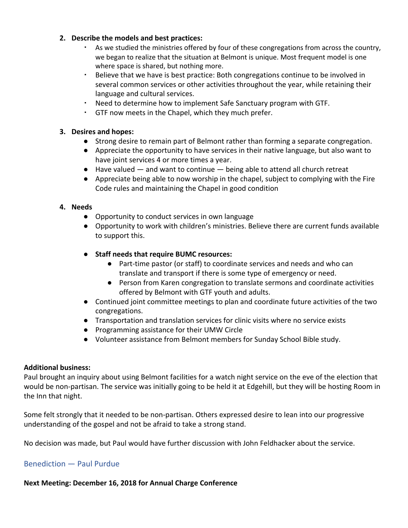#### **2. Describe the models and best practices:**

- As we studied the ministries offered by four of these congregations from across the country, we began to realize that the situation at Belmont is unique. Most frequent model is one where space is shared, but nothing more.
- Believe that we have is best practice: Both congregations continue to be involved in several common services or other activities throughout the year, while retaining their language and cultural services.
- Need to determine how to implement Safe Sanctuary program with GTF.
- GTF now meets in the Chapel, which they much prefer.

### **3. Desires and hopes:**

- Strong desire to remain part of Belmont rather than forming a separate congregation.
- Appreciate the opportunity to have services in their native language, but also want to have joint services 4 or more times a year.
- Have valued and want to continue being able to attend all church retreat
- Appreciate being able to now worship in the chapel, subject to complying with the Fire Code rules and maintaining the Chapel in good condition

### **4. Needs**

- Opportunity to conduct services in own language
- Opportunity to work with children's ministries. Believe there are current funds available to support this.
- **● Staff needs that require BUMC resources:**
	- Part-time pastor (or staff) to coordinate services and needs and who can translate and transport if there is some type of emergency or need.
	- Person from Karen congregation to translate sermons and coordinate activities offered by Belmont with GTF youth and adults.
- Continued joint committee meetings to plan and coordinate future activities of the two congregations.
- Transportation and translation services for clinic visits where no service exists
- Programming assistance for their UMW Circle
- Volunteer assistance from Belmont members for Sunday School Bible study.

### **Additional business:**

Paul brought an inquiry about using Belmont facilities for a watch night service on the eve of the election that would be non-partisan. The service was initially going to be held it at Edgehill, but they will be hosting Room in the Inn that night.

Some felt strongly that it needed to be non-partisan. Others expressed desire to lean into our progressive understanding of the gospel and not be afraid to take a strong stand.

No decision was made, but Paul would have further discussion with John Feldhacker about the service.

# Benediction — Paul Purdue

**Next Meeting: December 16, 2018 for Annual Charge Conference**